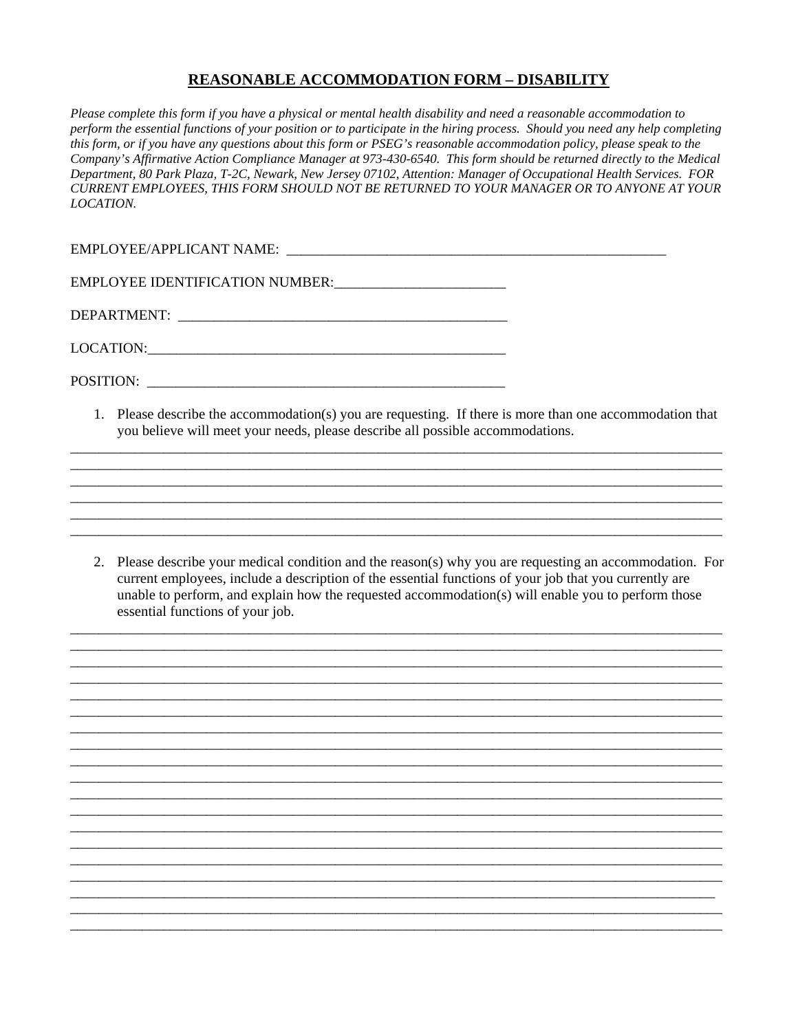## **REASONABLE ACCOMMODATION FORM – DISABILITY**

*Please complete this form if you have a physical or mental health disability and need a reasonable accommodation to perform the essential functions of your position or to participate in the hiring process. Should you need any help completing this form, or if you have any questions about this form or PSEG's reasonable accommodation policy, please speak to the Company's Affirmative Action Compliance Manager at 973-430-6540. This form should be returned directly to the Medical Department, 80 Park Plaza, T-2C, Newark, New Jersey 07102, Attention: Manager of Occupational Health Services. FOR CURRENT EMPLOYEES, THIS FORM SHOULD NOT BE RETURNED TO YOUR MANAGER OR TO ANYONE AT YOUR LOCATION.* 

EMPLOYEE/APPLICANT NAME: \_\_\_\_\_\_\_\_\_\_\_\_\_\_\_\_\_\_\_\_\_\_\_\_\_\_\_\_\_\_\_\_\_\_\_\_\_\_\_\_\_\_\_\_\_\_\_\_\_\_\_\_\_

EMPLOYEE IDENTIFICATION NUMBER:\_\_\_\_\_\_\_\_\_\_\_\_\_\_\_\_\_\_\_\_\_\_\_\_

DEPARTMENT:

LOCATION:\_\_\_\_\_\_\_\_\_\_\_\_\_\_\_\_\_\_\_\_\_\_\_\_\_\_\_\_\_\_\_\_\_\_\_\_\_\_\_\_\_\_\_\_\_\_\_\_\_\_

POSITION:

1. Please describe the accommodation(s) you are requesting. If there is more than one accommodation that you believe will meet your needs, please describe all possible accommodations.

\_\_\_\_\_\_\_\_\_\_\_\_\_\_\_\_\_\_\_\_\_\_\_\_\_\_\_\_\_\_\_\_\_\_\_\_\_\_\_\_\_\_\_\_\_\_\_\_\_\_\_\_\_\_\_\_\_\_\_\_\_\_\_\_\_\_\_\_\_\_\_\_\_\_\_\_\_\_\_\_\_\_\_\_\_\_\_\_\_\_\_ \_\_\_\_\_\_\_\_\_\_\_\_\_\_\_\_\_\_\_\_\_\_\_\_\_\_\_\_\_\_\_\_\_\_\_\_\_\_\_\_\_\_\_\_\_\_\_\_\_\_\_\_\_\_\_\_\_\_\_\_\_\_\_\_\_\_\_\_\_\_\_\_\_\_\_\_\_\_\_\_\_\_\_\_\_\_\_\_\_\_\_ \_\_\_\_\_\_\_\_\_\_\_\_\_\_\_\_\_\_\_\_\_\_\_\_\_\_\_\_\_\_\_\_\_\_\_\_\_\_\_\_\_\_\_\_\_\_\_\_\_\_\_\_\_\_\_\_\_\_\_\_\_\_\_\_\_\_\_\_\_\_\_\_\_\_\_\_\_\_\_\_\_\_\_\_\_\_\_\_\_\_\_ \_\_\_\_\_\_\_\_\_\_\_\_\_\_\_\_\_\_\_\_\_\_\_\_\_\_\_\_\_\_\_\_\_\_\_\_\_\_\_\_\_\_\_\_\_\_\_\_\_\_\_\_\_\_\_\_\_\_\_\_\_\_\_\_\_\_\_\_\_\_\_\_\_\_\_\_\_\_\_\_\_\_\_\_\_\_\_\_\_\_\_

\_\_\_\_\_\_\_\_\_\_\_\_\_\_\_\_\_\_\_\_\_\_\_\_\_\_\_\_\_\_\_\_\_\_\_\_\_\_\_\_\_\_\_\_\_\_\_\_\_\_\_\_\_\_\_\_\_\_\_\_\_\_\_\_\_\_\_\_\_\_\_\_\_\_\_\_\_\_\_\_\_\_\_\_\_\_\_\_\_\_\_

2. Please describe your medical condition and the reason(s) why you are requesting an accommodation. For current employees, include a description of the essential functions of your job that you currently are unable to perform, and explain how the requested accommodation(s) will enable you to perform those essential functions of your job.

\_\_\_\_\_\_\_\_\_\_\_\_\_\_\_\_\_\_\_\_\_\_\_\_\_\_\_\_\_\_\_\_\_\_\_\_\_\_\_\_\_\_\_\_\_\_\_\_\_\_\_\_\_\_\_\_\_\_\_\_\_\_\_\_\_\_\_\_\_\_\_\_\_\_\_\_\_\_\_\_\_\_\_\_\_\_\_\_\_\_\_ \_\_\_\_\_\_\_\_\_\_\_\_\_\_\_\_\_\_\_\_\_\_\_\_\_\_\_\_\_\_\_\_\_\_\_\_\_\_\_\_\_\_\_\_\_\_\_\_\_\_\_\_\_\_\_\_\_\_\_\_\_\_\_\_\_\_\_\_\_\_\_\_\_\_\_\_\_\_\_\_\_\_\_\_\_\_\_\_\_\_\_ \_\_\_\_\_\_\_\_\_\_\_\_\_\_\_\_\_\_\_\_\_\_\_\_\_\_\_\_\_\_\_\_\_\_\_\_\_\_\_\_\_\_\_\_\_\_\_\_\_\_\_\_\_\_\_\_\_\_\_\_\_\_\_\_\_\_\_\_\_\_\_\_\_\_\_\_\_\_\_\_\_\_\_\_\_\_\_\_\_\_\_

\_\_\_\_\_\_\_\_\_\_\_\_\_\_\_\_\_\_\_\_\_\_\_\_\_\_\_\_\_\_\_\_\_\_\_\_\_\_\_\_\_\_\_\_\_\_\_\_\_\_\_\_\_\_\_\_\_\_\_\_\_\_\_\_\_\_\_\_\_\_\_\_\_\_\_\_\_\_\_\_\_\_\_\_\_\_\_\_\_\_\_ \_\_\_\_\_\_\_\_\_\_\_\_\_\_\_\_\_\_\_\_\_\_\_\_\_\_\_\_\_\_\_\_\_\_\_\_\_\_\_\_\_\_\_\_\_\_\_\_\_\_\_\_\_\_\_\_\_\_\_\_\_\_\_\_\_\_\_\_\_\_\_\_\_\_\_\_\_\_\_\_\_\_\_\_\_\_\_\_\_\_\_ \_\_\_\_\_\_\_\_\_\_\_\_\_\_\_\_\_\_\_\_\_\_\_\_\_\_\_\_\_\_\_\_\_\_\_\_\_\_\_\_\_\_\_\_\_\_\_\_\_\_\_\_\_\_\_\_\_\_\_\_\_\_\_\_\_\_\_\_\_\_\_\_\_\_\_\_\_\_\_\_\_\_\_\_\_\_\_\_\_\_\_ \_\_\_\_\_\_\_\_\_\_\_\_\_\_\_\_\_\_\_\_\_\_\_\_\_\_\_\_\_\_\_\_\_\_\_\_\_\_\_\_\_\_\_\_\_\_\_\_\_\_\_\_\_\_\_\_\_\_\_\_\_\_\_\_\_\_\_\_\_\_\_\_\_\_\_\_\_\_\_\_\_\_\_\_\_\_\_\_\_\_\_ \_\_\_\_\_\_\_\_\_\_\_\_\_\_\_\_\_\_\_\_\_\_\_\_\_\_\_\_\_\_\_\_\_\_\_\_\_\_\_\_\_\_\_\_\_\_\_\_\_\_\_\_\_\_\_\_\_\_\_\_\_\_\_\_\_\_\_\_\_\_\_\_\_\_\_\_\_\_\_\_\_\_\_\_\_\_\_\_\_\_\_ \_\_\_\_\_\_\_\_\_\_\_\_\_\_\_\_\_\_\_\_\_\_\_\_\_\_\_\_\_\_\_\_\_\_\_\_\_\_\_\_\_\_\_\_\_\_\_\_\_\_\_\_\_\_\_\_\_\_\_\_\_\_\_\_\_\_\_\_\_\_\_\_\_\_\_\_\_\_\_\_\_\_\_\_\_\_\_\_\_\_\_ \_\_\_\_\_\_\_\_\_\_\_\_\_\_\_\_\_\_\_\_\_\_\_\_\_\_\_\_\_\_\_\_\_\_\_\_\_\_\_\_\_\_\_\_\_\_\_\_\_\_\_\_\_\_\_\_\_\_\_\_\_\_\_\_\_\_\_\_\_\_\_\_\_\_\_\_\_\_\_\_\_\_\_\_\_\_\_\_\_\_\_ \_\_\_\_\_\_\_\_\_\_\_\_\_\_\_\_\_\_\_\_\_\_\_\_\_\_\_\_\_\_\_\_\_\_\_\_\_\_\_\_\_\_\_\_\_\_\_\_\_\_\_\_\_\_\_\_\_\_\_\_\_\_\_\_\_\_\_\_\_\_\_\_\_\_\_\_\_\_\_\_\_\_\_\_\_\_\_\_\_\_\_ \_\_\_\_\_\_\_\_\_\_\_\_\_\_\_\_\_\_\_\_\_\_\_\_\_\_\_\_\_\_\_\_\_\_\_\_\_\_\_\_\_\_\_\_\_\_\_\_\_\_\_\_\_\_\_\_\_\_\_\_\_\_\_\_\_\_\_\_\_\_\_\_\_\_\_\_\_\_\_\_\_\_\_\_\_\_\_\_\_\_\_

\_\_\_\_\_\_\_\_\_\_\_\_\_\_\_\_\_\_\_\_\_\_\_\_\_\_\_\_\_\_\_\_\_\_\_\_\_\_\_\_\_\_\_\_\_\_\_\_\_\_\_\_\_\_\_\_\_\_\_\_\_\_\_\_\_\_\_\_\_\_\_\_\_\_\_\_\_\_\_\_\_\_\_\_\_\_\_\_\_\_\_ \_\_\_\_\_\_\_\_\_\_\_\_\_\_\_\_\_\_\_\_\_\_\_\_\_\_\_\_\_\_\_\_\_\_\_\_\_\_\_\_\_\_\_\_\_\_\_\_\_\_\_\_\_\_\_\_\_\_\_\_\_\_\_\_\_\_\_\_\_\_\_\_\_\_\_\_\_\_\_\_\_\_\_\_\_\_\_\_\_\_\_ \_\_\_\_\_\_\_\_\_\_\_\_\_\_\_\_\_\_\_\_\_\_\_\_\_\_\_\_\_\_\_\_\_\_\_\_\_\_\_\_\_\_\_\_\_\_\_\_\_\_\_\_\_\_\_\_\_\_\_\_\_\_\_\_\_\_\_\_\_\_\_\_\_\_\_\_\_\_\_\_\_\_\_\_\_\_\_\_\_\_ \_\_\_\_\_\_\_\_\_\_\_\_\_\_\_\_\_\_\_\_\_\_\_\_\_\_\_\_\_\_\_\_\_\_\_\_\_\_\_\_\_\_\_\_\_\_\_\_\_\_\_\_\_\_\_\_\_\_\_\_\_\_\_\_\_\_\_\_\_\_\_\_\_\_\_\_\_\_\_\_\_\_\_\_\_\_\_\_\_\_\_ \_\_\_\_\_\_\_\_\_\_\_\_\_\_\_\_\_\_\_\_\_\_\_\_\_\_\_\_\_\_\_\_\_\_\_\_\_\_\_\_\_\_\_\_\_\_\_\_\_\_\_\_\_\_\_\_\_\_\_\_\_\_\_\_\_\_\_\_\_\_\_\_\_\_\_\_\_\_\_\_\_\_\_\_\_\_\_\_\_\_\_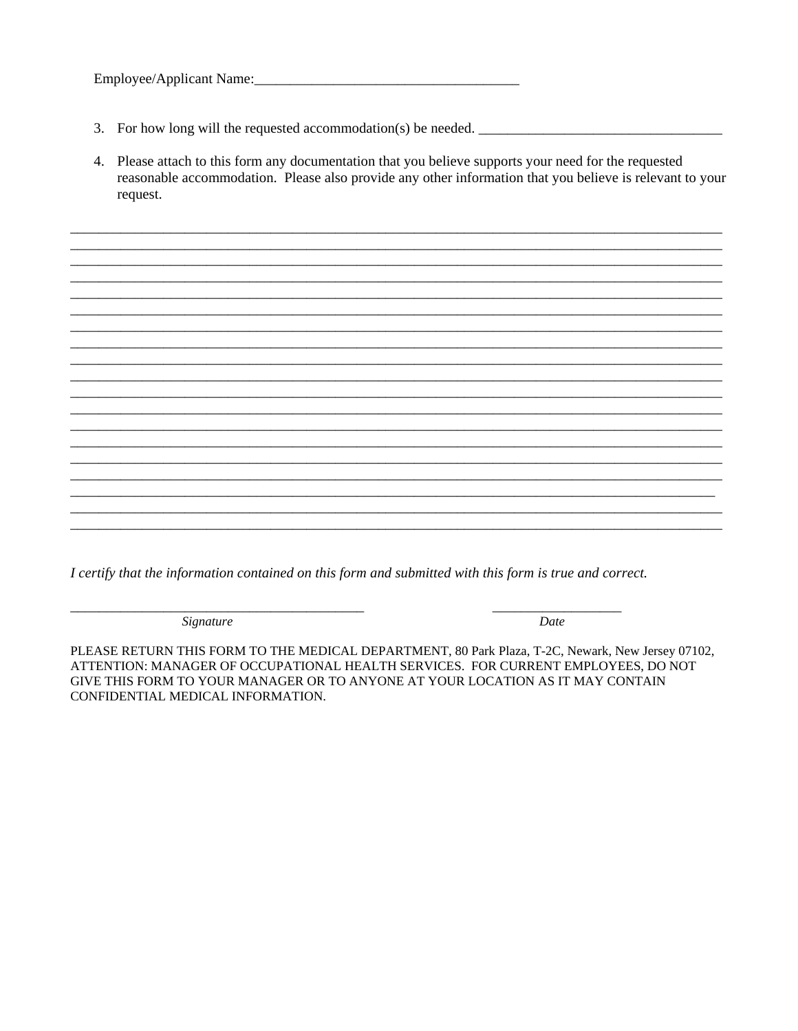- 
- 4. Please attach to this form any documentation that you believe supports your need for the requested reasonable accommodation. Please also provide any other information that you believe is relevant to your request.

I certify that the information contained on this form and submitted with this form is true and correct.

Signature

Date

PLEASE RETURN THIS FORM TO THE MEDICAL DEPARTMENT, 80 Park Plaza, T-2C, Newark, New Jersey 07102, ATTENTION: MANAGER OF OCCUPATIONAL HEALTH SERVICES. FOR CURRENT EMPLOYEES, DO NOT GIVE THIS FORM TO YOUR MANAGER OR TO ANYONE AT YOUR LOCATION AS IT MAY CONTAIN CONFIDENTIAL MEDICAL INFORMATION.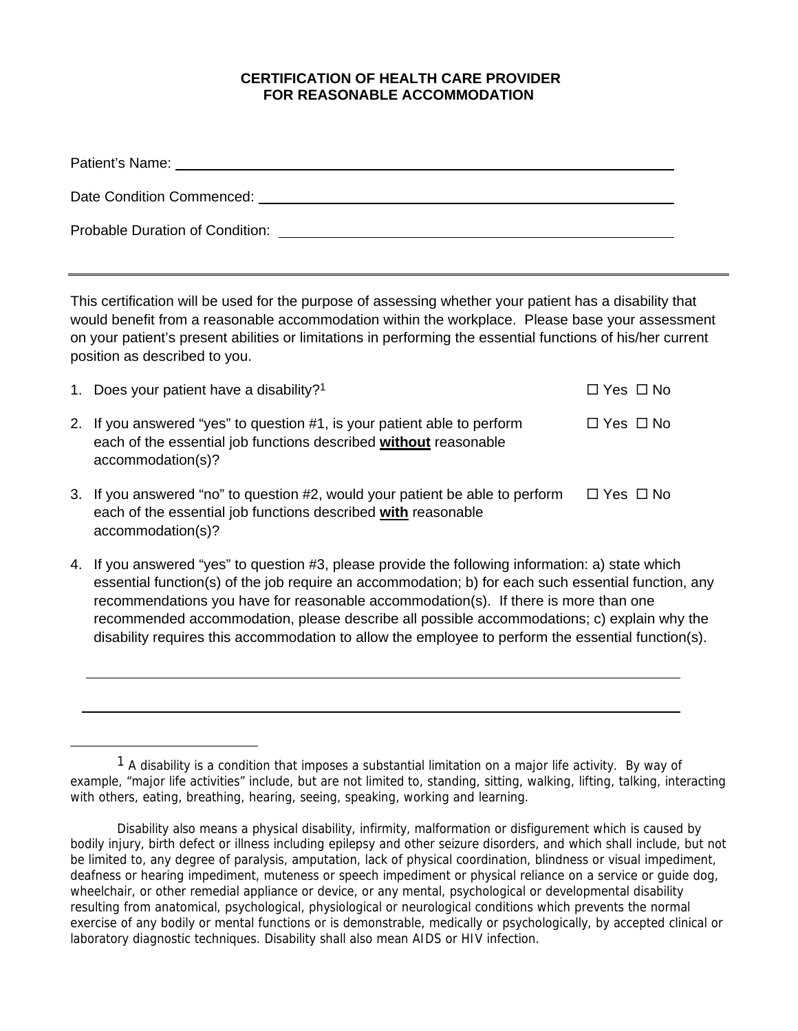## **CERTIFICATION OF HEALTH CARE PROVIDER FOR REASONABLE ACCOMMODATION**

| Probable Duration of Condition: New York Conditions of the Condition of Conditions of the Condition of Conditions of the Condition of Conditions of the Conditions of the Conditions of the Conditions of Conditions of Condit |  |
|--------------------------------------------------------------------------------------------------------------------------------------------------------------------------------------------------------------------------------|--|

This certification will be used for the purpose of assessing whether your patient has a disability that would benefit from a reasonable accommodation within the workplace. Please base your assessment on your patient's present abilities or limitations in performing the essential functions of his/her current position as described to you.

| 1. Does your patient have a disability? <sup>1</sup>                                                                                                                | $\Box$ Yes $\Box$ No |
|---------------------------------------------------------------------------------------------------------------------------------------------------------------------|----------------------|
| 2. If you answered "yes" to question #1, is your patient able to perform<br>each of the essential job functions described without reasonable<br>accommodation(s)?   | $\Box$ Yes $\Box$ No |
| 3. If you answered "no" to question #2, would your patient be able to perform<br>each of the essential job functions described with reasonable<br>accommodation(s)? | $\Box$ Yes $\Box$ No |

4. If you answered "yes" to question #3, please provide the following information: a) state which essential function(s) of the job require an accommodation; b) for each such essential function, any recommendations you have for reasonable accommodation(s). If there is more than one recommended accommodation, please describe all possible accommodations; c) explain why the disability requires this accommodation to allow the employee to perform the essential function(s).

 $\overline{a}$ 

 $\overline{a}$ 

 $<sup>1</sup>$  A disability is a condition that imposes a substantial limitation on a major life activity. By way of</sup> example, "major life activities" include, but are not limited to, standing, sitting, walking, lifting, talking, interacting with others, eating, breathing, hearing, seeing, speaking, working and learning.

Disability also means a physical disability, infirmity, malformation or disfigurement which is caused by bodily injury, birth defect or illness including epilepsy and other seizure disorders, and which shall include, but not be limited to, any degree of paralysis, amputation, lack of physical coordination, blindness or visual impediment, deafness or hearing impediment, muteness or speech impediment or physical reliance on a service or guide dog, wheelchair, or other remedial appliance or device, or any mental, psychological or developmental disability resulting from anatomical, psychological, physiological or neurological conditions which prevents the normal exercise of any bodily or mental functions or is demonstrable, medically or psychologically, by accepted clinical or laboratory diagnostic techniques. Disability shall also mean AIDS or HIV infection.